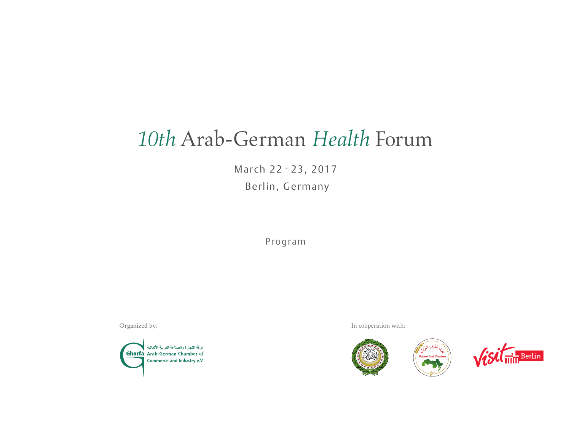# *10th* Arab-German *Health* Forum

March 22 - 23, 2017 Berlin, Germany

Program



Organized by: In cooperation with:

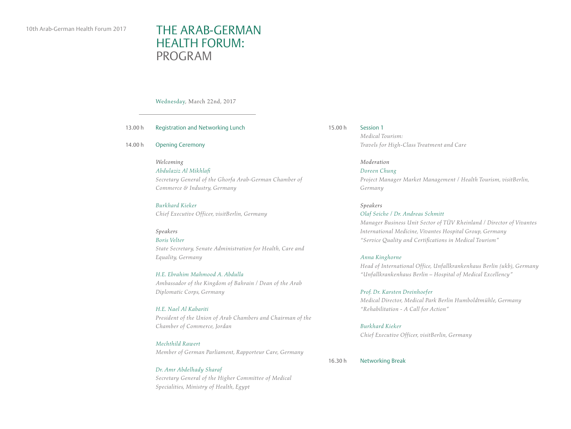$13.$ 

# 10th Arab-German Health Forum 2017 THE ARAB-GERMAN HEALTH FORUM: PROGRAM

Wednesday, March 22nd, 2017

| 13.00 h   | Registration and Networking Lunch                                                                                            |
|-----------|------------------------------------------------------------------------------------------------------------------------------|
| 14.00 $h$ | <b>Opening Ceremony</b>                                                                                                      |
|           | Welcoming<br>Abdulaziz Al Mikhlafi<br>Secretary General of the Ghorfa Arab-German Chamber of<br>Commerce & Industry, Germany |
|           | Burkhard Kieker<br>Chief Executive Officer, visitBerlin, Germany                                                             |
|           | Speakers<br>Boris Velter                                                                                                     |

*State Secretary, Senate Administration for Health, Care and Equality, Germany*

*H.E. Ebrahim Mahmood A. Abdulla Ambassador of the Kingdom of Bahrain / Dean of the Arab Diplomatic Corps, Germany*

#### *H.E. Nael Al Kabariti*

*President of the Union of Arab Chambers and Chairman of the Chamber of Commerce, Jordan*

#### *Mechthild Rawert*

*Member of German Parliament, Rapporteur Care, Germany*

### *Dr. Amr Abdelhady Sharaf Secretary General of the Higher Committee of Medical*

*Specialities, Ministry of Health, Egypt*

Session 1 *Medical Tourism: Travels for High-Class Treatment and Care* 15.00 h

> *Moderation Doreen Chung Project Manager Market Management / Health Tourism, visitBerlin, Germany*

#### *Speakers*

*Olaf Seiche / Dr. Andreas Schmitt Manager Business Unit Sector of TÜV Rheinland / Director of Vivantes International Medicine, Vivantes Hospital Group, Germany "Service Quality and Certifications in Medical Tourism"*

#### *Anna Kinghorne*

*Head of International Office, Unfallkrankenhaus Berlin (ukb), Germany "Unfallkrankenhaus Berlin – Hospital of Medical Excellency"*

*Prof. Dr. Karsten Dreinhoefer Medical Director, Medical Park Berlin Humboldtmühle, Germany "Rehabilitation - A Call for Action"*

#### *Burkhard Kieker*

*Chief Executive Officer, visitBerlin, Germany*

Networking Break 16.30 h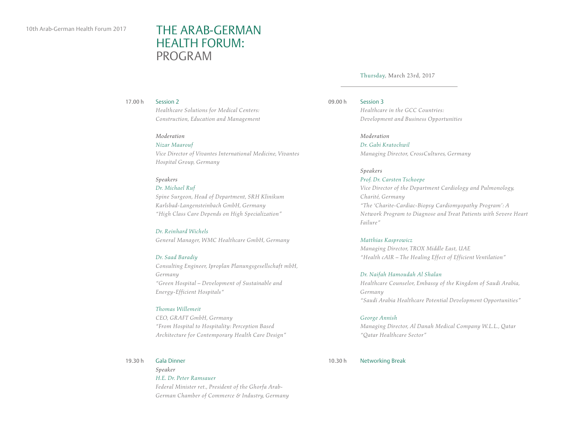## THE ARAB-GERMAN HEALTH FORUM: PROGRAM

#### Thursday, March 23rd, 2017

Session 2 17.00 h

> *Healthcare Solutions for Medical Centers: Construction, Education and Management*

#### *Moderation*

*Nizar Maarouf Vice Director of Vivantes International Medicine, Vivantes Hospital Group, Germany*

#### *Speakers*

*Dr. Michael Ruf*

*Spine Surgeon, Head of Department, SRH Klinikum Karlsbad-Langensteinbach GmbH, Germany "High Class Care Depends on High Specialization"*

#### *Dr. Reinhard Wichels*

*General Manager, WMC Healthcare GmbH, Germany*

#### *Dr. Saad Baradiy*

*Consulting Engineer, Iproplan Planungsgesellschaft mbH, Germany "Green Hospital – Development of Sustainable and Energy-Efficient Hospitals"* 

#### *Thomas Willemeit*

*CEO, GRAFT GmbH, Germany "From Hospital to Hospitality: Perception Based Architecture for Contemporary Health Care Design"*

#### Gala Dinner 19.30 h

*Speaker H.E. Dr. Peter Ramsauer Federal Minister ret., President of the Ghorfa Arab-German Chamber of Commerce & Industry, Germany* 

Session 3 09.00 h

*Healthcare in the GCC Countries: Development and Business Opportunities*

*Moderation*

*Dr. Gabi Kratochwil Managing Director, CrossCultures, Germany*

#### *Speakers*

*Prof. Dr. Carsten Tschoepe Vice Director of the Department Cardiology and Pulmonology, Charité, Germany "The 'Charite-Cardiac-Biopsy Cardiomyopathy Program': A Network Program to Diagnose and Treat Patients with Severe Heart Failure"*

#### *Matthias Kasprowicz*

*Managing Director, TROX Middle East, UAE "Health cAIR – The Healing Effect of Efficient Ventilation"*

*Dr. Naifah Hamoudah Al Shalan*

*Healthcare Counselor, Embassy of the Kingdom of Saudi Arabia, Germany "Saudi Arabia Healthcare Potential Development Opportunities"*

#### *George Annish*

*Managing Director, Al Danah Medical Company W.L.L., Qatar "Qatar Healthcare Sector"*

Networking Break 10.30 h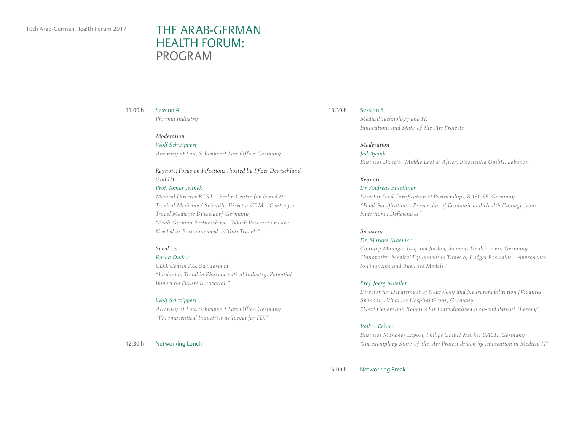## THE ARAB-GERMAN HEALTH FORUM: PROGRAM

#### Session 4 11.00 h

*Pharma Industry*

#### *Moderation*

*Wolf Schwippert Attorney at Law, Schwippert Law Office, Germany*

### *Keynote: Focus on Infections (hosted by Pfizer Deutschland GmbH)*

*Prof. Tomas Jelinek*

*Medical Director BCRT – Berlin Centre for Travel & Tropical Medicine / Scientific Director CRM – Centre for Travel Medicine Düsseldorf, Germany "Arab-German Partnerships – Which Vaccinations are Needed or Recommended on Your Travel?"*

#### *Speakers*

#### *Rasha Oudeh*

*CEO, Cedem AG, Switzerland "Jordanian Trend in Pharmaceutical Industry: Potential Impact on Future Innovation"*

#### *Wolf Schwippert*

*Attorney at Law, Schwippert Law Office, Germany "Pharmaceutical Industries as Target for FDI"*

Networking Lunch 12.30 h

#### 13.30 h

*Medical Technology and IT: Innovations and State-of-the-Art Projects*

### *Moderation*

*Jad Ayoub Business Director Middle East & Africa, Bioscientia GmbH, Lebanon*

#### *Keynote*

Session 5

#### *Dr. Andreas Bluethner*

*Director Food-Fortification & Partnerships, BASF SE, Germany "Food-Fortification – Prevention of Economic and Health Damage from Nutritional Deficiencies"*

#### *Speakers*

#### *Dr. Markus Kraemer*

*Country Manager Iraq and Jordan, Siemens Healthineers, Germany "Innovative Medical Equipment in Times of Budget Restrains – Approaches to Financing and Business Models"*

#### *Prof. Joerg Mueller*

*Director for Department of Neurology and Neurorehabilitation (Vivantes Spandau), Vivantes Hospital Group, Germany "Next Generation Robotics for Individualized high-end Patient Therapy"*

#### *Volker Eckert*

*Business Manager Export, Philips GmbH Market DACH, Germany "An exemplary State-of-the-Art Project driven by Innovation in Medical IT"*

Networking Break 15.00 h